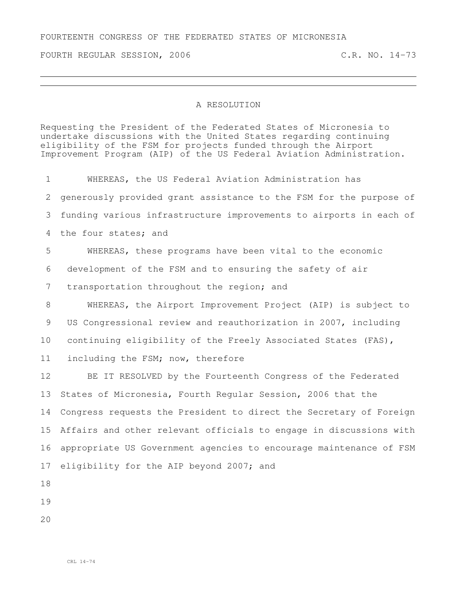## FOURTEENTH CONGRESS OF THE FEDERATED STATES OF MICRONESIA

FOURTH REGULAR SESSION, 2006 C.R. NO. 14-73

## A RESOLUTION

Requesting the President of the Federated States of Micronesia to undertake discussions with the United States regarding continuing eligibility of the FSM for projects funded through the Airport Improvement Program (AIP) of the US Federal Aviation Administration.

 WHEREAS, the US Federal Aviation Administration has generously provided grant assistance to the FSM for the purpose of funding various infrastructure improvements to airports in each of the four states; and WHEREAS, these programs have been vital to the economic development of the FSM and to ensuring the safety of air 7 transportation throughout the region; and WHEREAS, the Airport Improvement Project (AIP) is subject to US Congressional review and reauthorization in 2007, including continuing eligibility of the Freely Associated States (FAS), including the FSM; now, therefore BE IT RESOLVED by the Fourteenth Congress of the Federated States of Micronesia, Fourth Regular Session, 2006 that the Congress requests the President to direct the Secretary of Foreign Affairs and other relevant officials to engage in discussions with appropriate US Government agencies to encourage maintenance of FSM 17 eligibility for the AIP beyond 2007; and